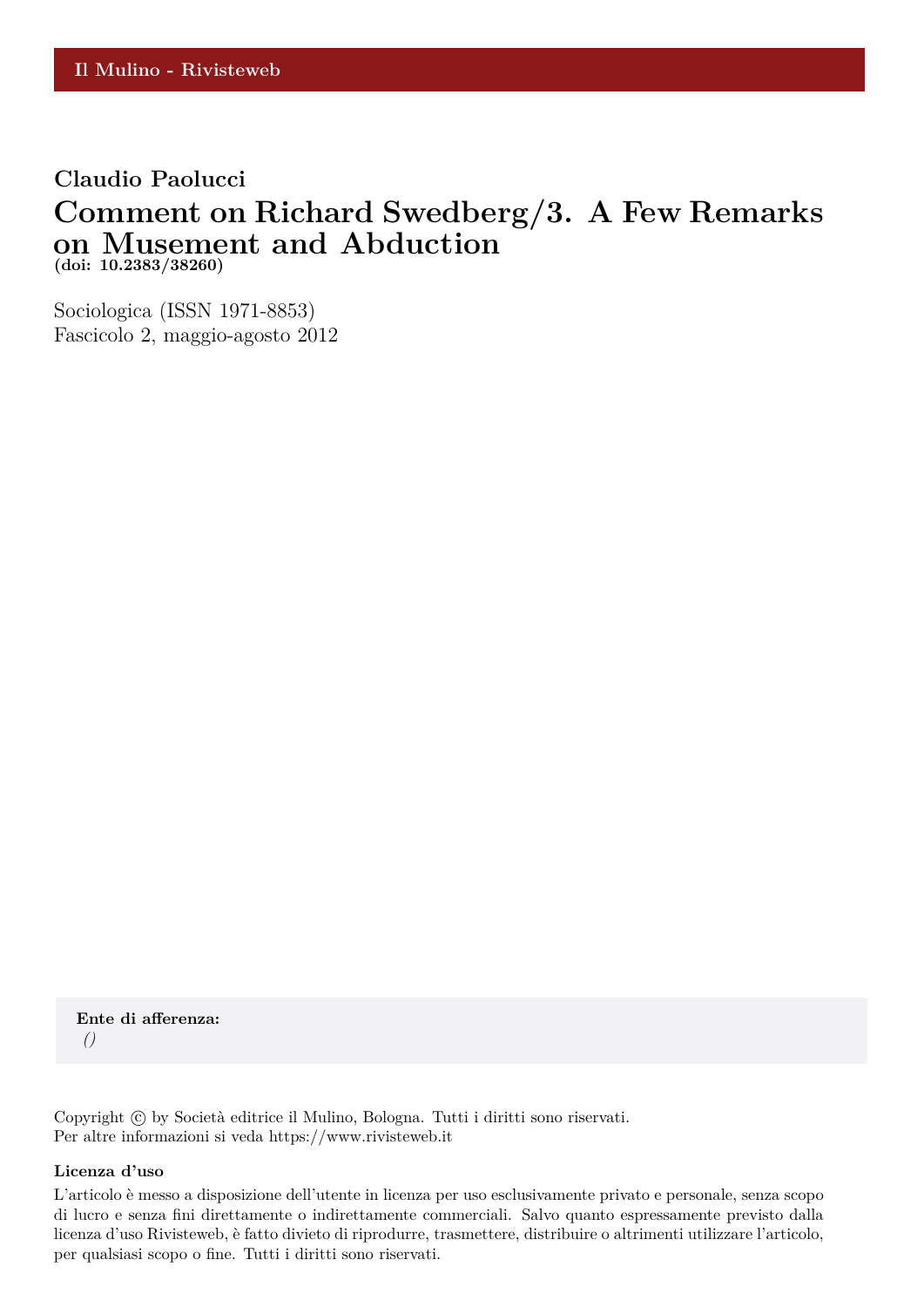#### **Claudio Paolucci**

## **Comment on Richard Swedberg/3. A Few Remarks on Musement and Abduction (doi: 10.2383/38260)**

Sociologica (ISSN 1971-8853) Fascicolo 2, maggio-agosto 2012

**Ente di afferenza:** *()*

Copyright © by Società editrice il Mulino, Bologna. Tutti i diritti sono riservati. Per altre informazioni si veda https://www.rivisteweb.it

#### **Licenza d'uso**

L'articolo è messo a disposizione dell'utente in licenza per uso esclusivamente privato e personale, senza scopo di lucro e senza fini direttamente o indirettamente commerciali. Salvo quanto espressamente previsto dalla licenza d'uso Rivisteweb, è fatto divieto di riprodurre, trasmettere, distribuire o altrimenti utilizzare l'articolo, per qualsiasi scopo o fine. Tutti i diritti sono riservati.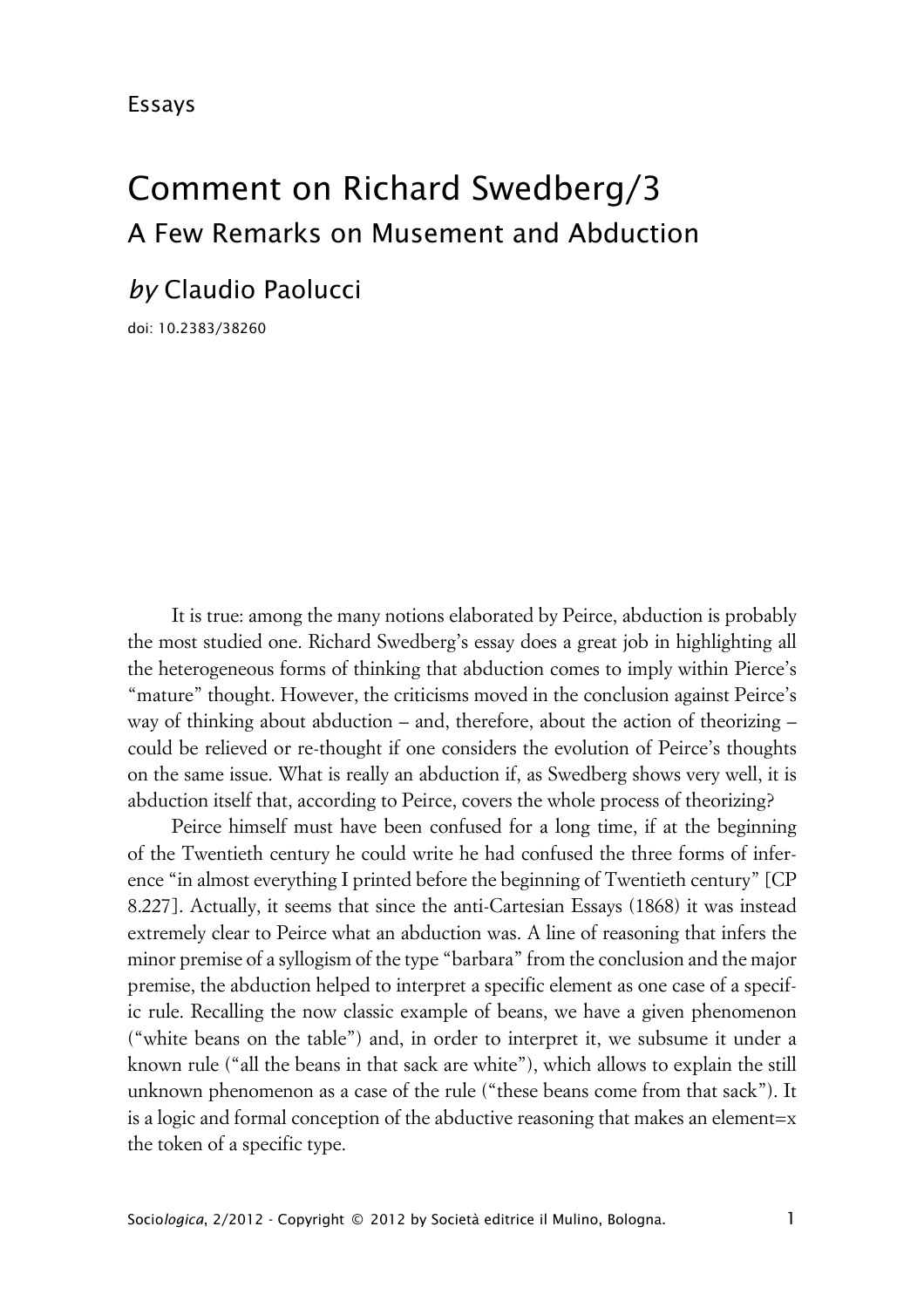# Comment on Richard Swedberg/3 A Few Remarks on Musement and Abduction

# *by* Claudio Paolucci

doi: 10.2383/38260

It is true: among the many notions elaborated by Peirce, abduction is probably the most studied one. Richard Swedberg's essay does a great job in highlighting all the heterogeneous forms of thinking that abduction comes to imply within Pierce's "mature" thought. However, the criticisms moved in the conclusion against Peirce's way of thinking about abduction – and, therefore, about the action of theorizing – could be relieved or re-thought if one considers the evolution of Peirce's thoughts on the same issue. What is really an abduction if, as Swedberg shows very well, it is abduction itself that, according to Peirce, covers the whole process of theorizing?

Peirce himself must have been confused for a long time, if at the beginning of the Twentieth century he could write he had confused the three forms of inference "in almost everything I printed before the beginning of Twentieth century" [CP 8.227]. Actually, it seems that since the anti-Cartesian Essays (1868) it was instead extremely clear to Peirce what an abduction was. A line of reasoning that infers the minor premise of a syllogism of the type "barbara" from the conclusion and the major premise, the abduction helped to interpret a specific element as one case of a specific rule. Recalling the now classic example of beans, we have a given phenomenon ("white beans on the table") and, in order to interpret it, we subsume it under a known rule ("all the beans in that sack are white"), which allows to explain the still unknown phenomenon as a case of the rule ("these beans come from that sack"). It is a logic and formal conception of the abductive reasoning that makes an element=x the token of a specific type.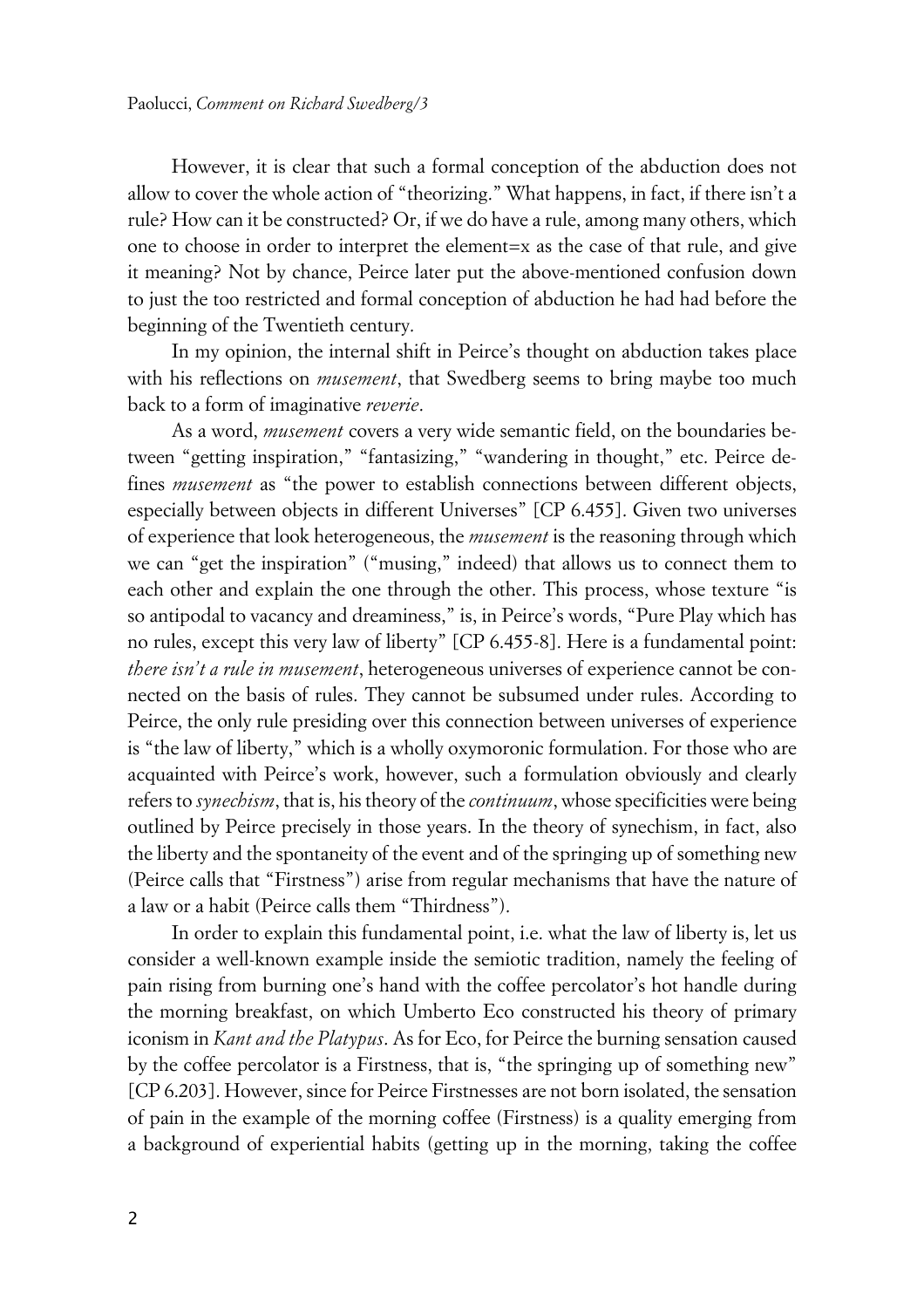However, it is clear that such a formal conception of the abduction does not allow to cover the whole action of "theorizing." What happens, in fact, if there isn't a rule? How can it be constructed? Or, if we do have a rule, among many others, which one to choose in order to interpret the element=x as the case of that rule, and give it meaning? Not by chance, Peirce later put the above-mentioned confusion down to just the too restricted and formal conception of abduction he had had before the beginning of the Twentieth century.

In my opinion, the internal shift in Peirce's thought on abduction takes place with his reflections on *musement*, that Swedberg seems to bring maybe too much back to a form of imaginative *reverie*.

As a word, *musement* covers a very wide semantic field, on the boundaries between "getting inspiration," "fantasizing," "wandering in thought," etc. Peirce defines *musement* as "the power to establish connections between different objects, especially between objects in different Universes" [CP 6.455]. Given two universes of experience that look heterogeneous, the *musement* is the reasoning through which we can "get the inspiration" ("musing," indeed) that allows us to connect them to each other and explain the one through the other. This process, whose texture "is so antipodal to vacancy and dreaminess," is, in Peirce's words, "Pure Play which has no rules, except this very law of liberty" [CP 6.455-8]. Here is a fundamental point: *there isn't a rule in musement*, heterogeneous universes of experience cannot be connected on the basis of rules. They cannot be subsumed under rules. According to Peirce, the only rule presiding over this connection between universes of experience is "the law of liberty," which is a wholly oxymoronic formulation. For those who are acquainted with Peirce's work, however, such a formulation obviously and clearly refers to *synechism*, that is, his theory of the *continuum*, whose specificities were being outlined by Peirce precisely in those years. In the theory of synechism, in fact, also the liberty and the spontaneity of the event and of the springing up of something new (Peirce calls that "Firstness") arise from regular mechanisms that have the nature of a law or a habit (Peirce calls them "Thirdness").

In order to explain this fundamental point, i.e. what the law of liberty is, let us consider a well-known example inside the semiotic tradition, namely the feeling of pain rising from burning one's hand with the coffee percolator's hot handle during the morning breakfast, on which Umberto Eco constructed his theory of primary iconism in *Kant and the Platypus*. As for Eco, for Peirce the burning sensation caused by the coffee percolator is a Firstness, that is, "the springing up of something new" [CP 6.203]. However, since for Peirce Firstnesses are not born isolated, the sensation of pain in the example of the morning coffee (Firstness) is a quality emerging from a background of experiential habits (getting up in the morning, taking the coffee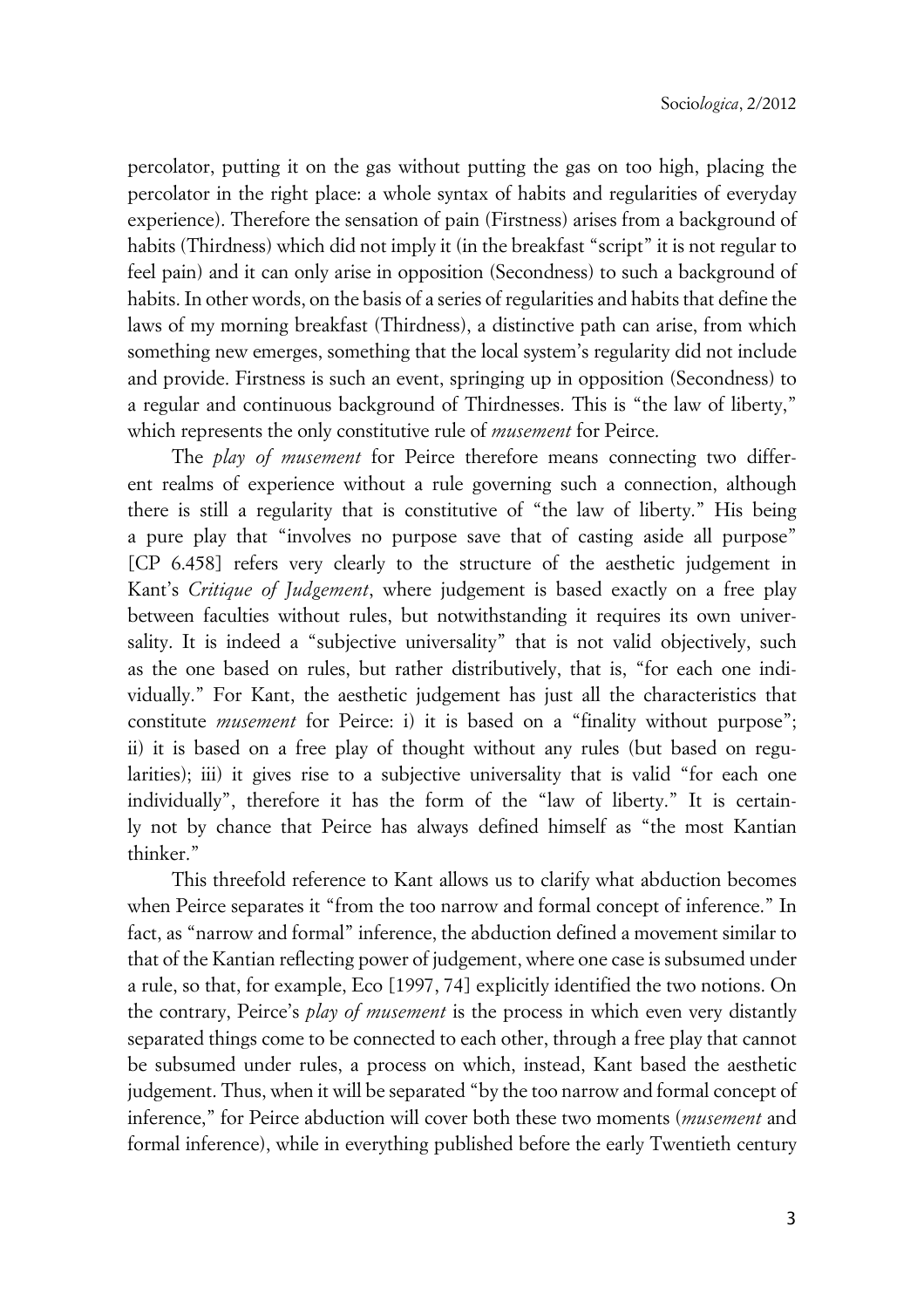percolator, putting it on the gas without putting the gas on too high, placing the percolator in the right place: a whole syntax of habits and regularities of everyday experience). Therefore the sensation of pain (Firstness) arises from a background of habits (Thirdness) which did not imply it (in the breakfast "script" it is not regular to feel pain) and it can only arise in opposition (Secondness) to such a background of habits. In other words, on the basis of a series of regularities and habits that define the laws of my morning breakfast (Thirdness), a distinctive path can arise, from which something new emerges, something that the local system's regularity did not include and provide. Firstness is such an event, springing up in opposition (Secondness) to a regular and continuous background of Thirdnesses. This is "the law of liberty," which represents the only constitutive rule of *musement* for Peirce.

The *play of musement* for Peirce therefore means connecting two different realms of experience without a rule governing such a connection, although there is still a regularity that is constitutive of "the law of liberty." His being a pure play that "involves no purpose save that of casting aside all purpose" [CP 6.458] refers very clearly to the structure of the aesthetic judgement in Kant's *Critique of Judgement*, where judgement is based exactly on a free play between faculties without rules, but notwithstanding it requires its own universality. It is indeed a "subjective universality" that is not valid objectively, such as the one based on rules, but rather distributively, that is, "for each one individually." For Kant, the aesthetic judgement has just all the characteristics that constitute *musement* for Peirce: i) it is based on a "finality without purpose"; ii) it is based on a free play of thought without any rules (but based on regularities); iii) it gives rise to a subjective universality that is valid "for each one individually", therefore it has the form of the "law of liberty." It is certainly not by chance that Peirce has always defined himself as "the most Kantian thinker."

This threefold reference to Kant allows us to clarify what abduction becomes when Peirce separates it "from the too narrow and formal concept of inference." In fact, as "narrow and formal" inference, the abduction defined a movement similar to that of the Kantian reflecting power of judgement, where one case is subsumed under a rule, so that, for example, Eco [1997, 74] explicitly identified the two notions. On the contrary, Peirce's *play of musement* is the process in which even very distantly separated things come to be connected to each other, through a free play that cannot be subsumed under rules, a process on which, instead, Kant based the aesthetic judgement. Thus, when it will be separated "by the too narrow and formal concept of inference," for Peirce abduction will cover both these two moments (*musement* and formal inference), while in everything published before the early Twentieth century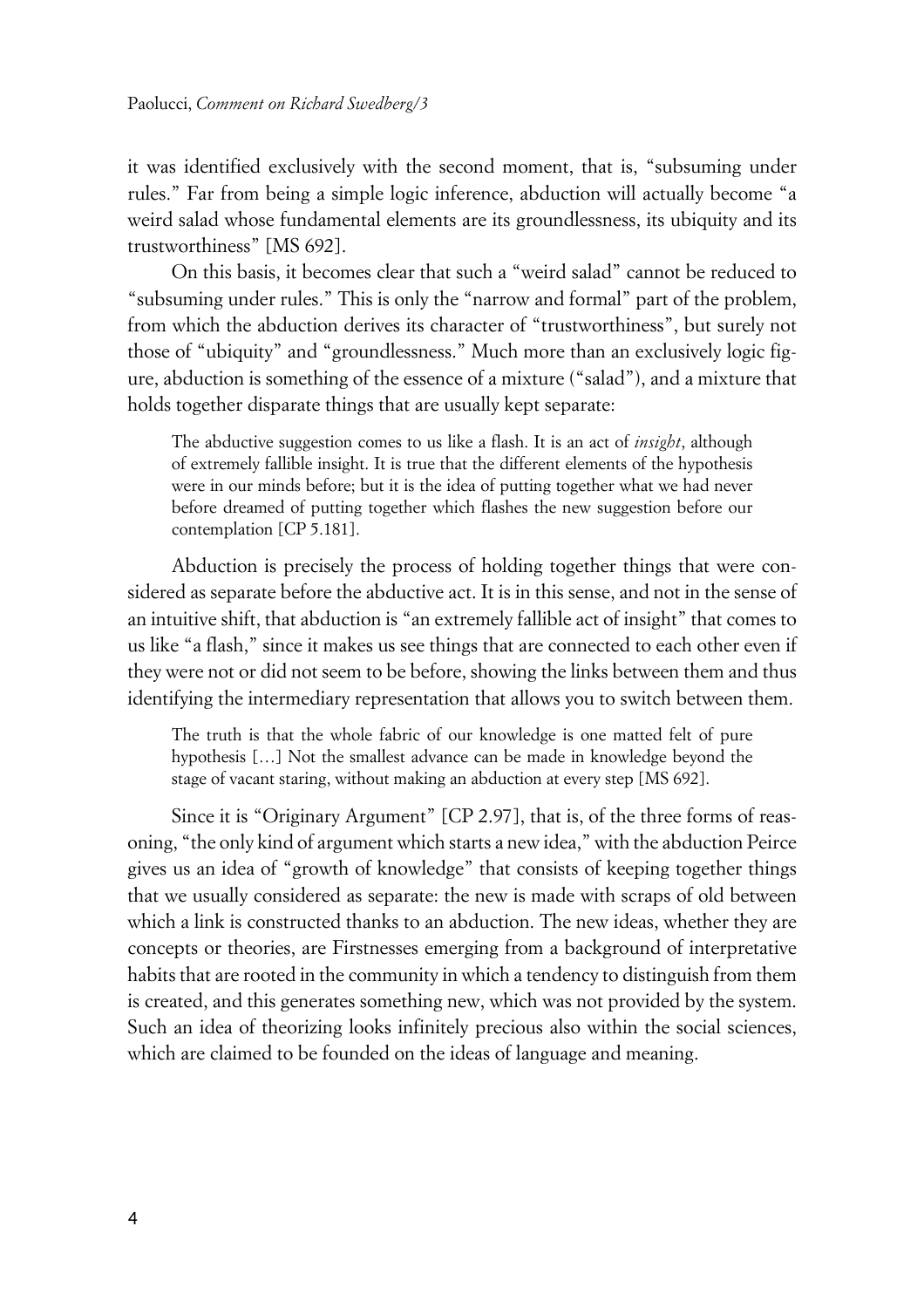it was identified exclusively with the second moment, that is, "subsuming under rules." Far from being a simple logic inference, abduction will actually become "a weird salad whose fundamental elements are its groundlessness, its ubiquity and its trustworthiness" [MS 692].

On this basis, it becomes clear that such a "weird salad" cannot be reduced to "subsuming under rules." This is only the "narrow and formal" part of the problem, from which the abduction derives its character of "trustworthiness", but surely not those of "ubiquity" and "groundlessness." Much more than an exclusively logic figure, abduction is something of the essence of a mixture ("salad"), and a mixture that holds together disparate things that are usually kept separate:

The abductive suggestion comes to us like a flash. It is an act of *insight*, although of extremely fallible insight. It is true that the different elements of the hypothesis were in our minds before; but it is the idea of putting together what we had never before dreamed of putting together which flashes the new suggestion before our contemplation [CP 5.181].

Abduction is precisely the process of holding together things that were considered as separate before the abductive act. It is in this sense, and not in the sense of an intuitive shift, that abduction is "an extremely fallible act of insight" that comes to us like "a flash," since it makes us see things that are connected to each other even if they were not or did not seem to be before, showing the links between them and thus identifying the intermediary representation that allows you to switch between them.

The truth is that the whole fabric of our knowledge is one matted felt of pure hypothesis […] Not the smallest advance can be made in knowledge beyond the stage of vacant staring, without making an abduction at every step [MS 692].

Since it is "Originary Argument" [CP 2.97], that is, of the three forms of reasoning, "the only kind of argument which starts a new idea," with the abduction Peirce gives us an idea of "growth of knowledge" that consists of keeping together things that we usually considered as separate: the new is made with scraps of old between which a link is constructed thanks to an abduction. The new ideas, whether they are concepts or theories, are Firstnesses emerging from a background of interpretative habits that are rooted in the community in which a tendency to distinguish from them is created, and this generates something new, which was not provided by the system. Such an idea of theorizing looks infinitely precious also within the social sciences, which are claimed to be founded on the ideas of language and meaning.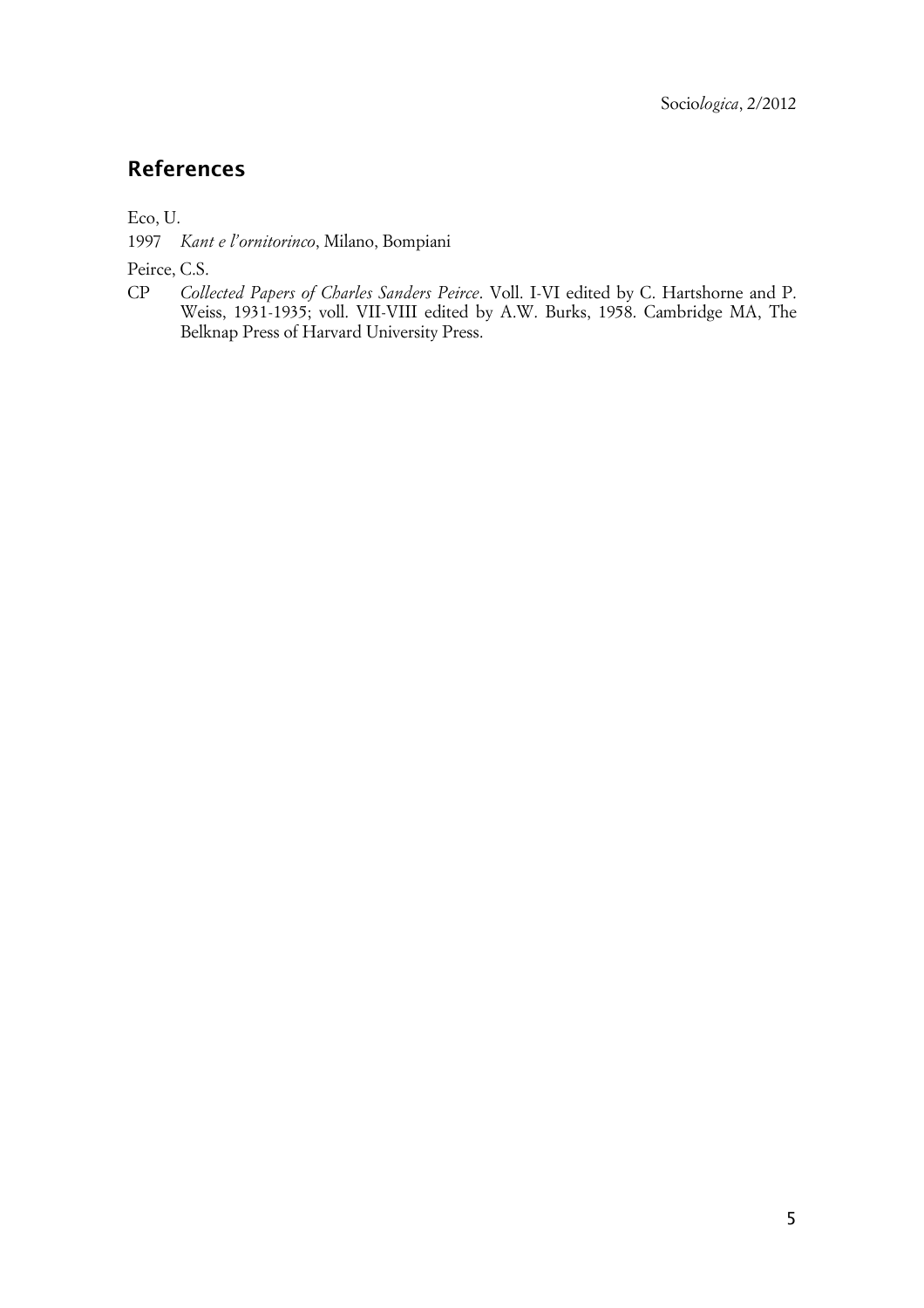# **References**

Eco, U.

1997 *Kant e l'ornitorinco*, Milano, Bompiani

Peirce, C.S.

CP *Collected Papers of Charles Sanders Peirce*. Voll. I-VI edited by C. Hartshorne and P. Weiss, 1931-1935; voll. VII-VIII edited by A.W. Burks, 1958. Cambridge MA, The Belknap Press of Harvard University Press.